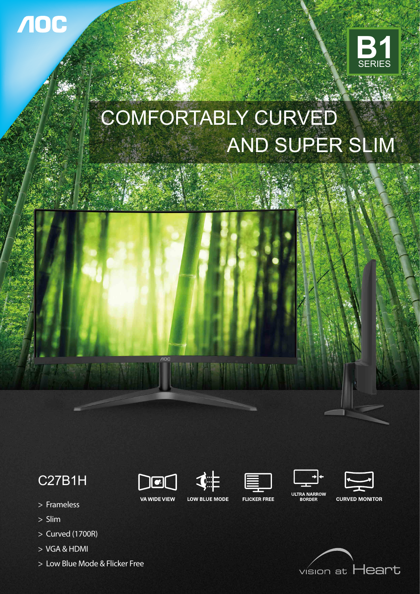

# COMFORTABLY CURVED AND SUPER SLIM



## C27B1H

 $\overline{\phantom{a}}$ 

**VA WIDE VIEW** 











- > Frameless
- > Slim

VOC

- > Curved (1700R)
- > VGA & HDMI
- > Low Blue Mode & Flicker Free